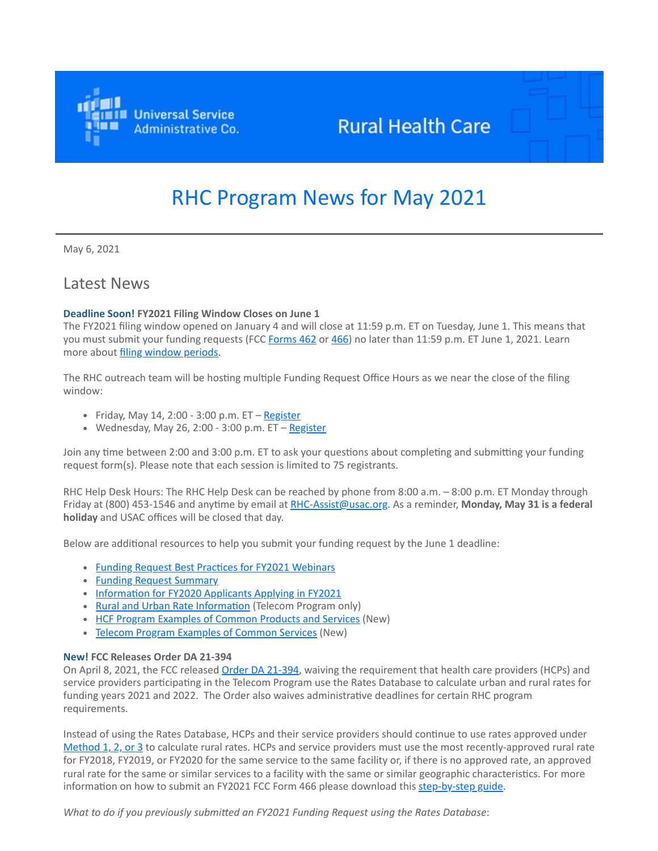

## **Rural Health Care**

# RHC Program News for May 2021

May 6, 2021

### Latest News

### **Deadline Soon! FY2021 Filing Window Closes on June 1**

The FY2021 filing window opened on January 4 and will close at 11:59 p.m. ET on Tuesday, June 1. This means that you must submit your funding requests (FCC [Forms 462](https://click.outreach.usac.org/?qs=290e1bb5281bd451364339348bca413bb914b850df42ed340f474dd10577df31371529a5a533ec415f331c1ed9bab45e695b71cff647c3f0) or [466](https://click.outreach.usac.org/?qs=290e1bb5281bd45189fc389f55f2aaed29299c699bc5b5fefe615cd560d040d27fd1394d93c0253275b6d28a3c47d275e8e3b01e3aaa782e)) no later than 11:59 p.m. ET June 1, 2021. Learn more about *[filing window periods](https://click.outreach.usac.org/?qs=290e1bb5281bd4519ad2850af090a0ab3cd0466f0ef2ceaa0a1b5f157ee9aed10c5ef92d58b23bf44df7f9316c308d3b671cdfc73473b137)*.

The RHC outreach team will be hosting multiple Funding Request Office Hours as we near the close of the filing window:

- Friday, May 14, 2:00 3:00 p.m.  $ET Register$  $ET Register$
- Wednesday, May 26, 2:00 3:00 p.m.  $ET Register$  $ET Register$

Join any time between 2:00 and 3:00 p.m. ET to ask your questions about completing and submitting your funding request form(s). Please note that each session is limited to 75 registrants.

RHC Help Desk Hours: The RHC Help Desk can be reached by phone from 8:00 a.m. – 8:00 p.m. ET Monday through Friday at (800) 453-1546 and anytime by email at [RHC-Assist@usac.org](mailto:RHC-Assist@usac.org?subject=). As a reminder, **Monday, May 31 is a federal holiday** and USAC offices will be closed that day.

Below are additional resources to help you submit your funding request by the June 1 deadline:

- [Funding Request Best Practices for FY2021 Webinars](https://click.outreach.usac.org/?qs=290e1bb5281bd451ced1189a1c0e5173f97331429582bfb7f4b950515a40b03f18c0e501855710d2d470a26fa8bf2f869289732718f42f96)
- [Funding Request Summary](https://click.outreach.usac.org/?qs=290e1bb5281bd45129d368c5aa9e0b1538830db61672349e9606318b8e6929f61e3aae00fd993d8392413fde814eec4dde5a69fb5cc097eb)
- [Information for FY2020 Applicants Applying in FY2021](https://click.outreach.usac.org/?qs=290e1bb5281bd451ecb8f7d3f1bbda8e8b7bbf5b16b6410ea9a23aa1e4e782f517bad827ef615edb7b5e80ea698d4711c9920863767d2ad5)
- [Rural and Urban Rate Information](https://click.outreach.usac.org/?qs=290e1bb5281bd45193469d2d3b1b9aaa5bf352a9913e509e9f4031dc91229a71c0a17cf81468c7a00e743456eec8df9e397c4825504cd3e3) (Telecom Program only)
- [HCF Program Examples of Common Products and Services](https://click.outreach.usac.org/?qs=4d723ffd2719086dc919bb59d0762e08d75b22cbc99b13665973bec3d171366aa358cbbfafd794df64ec709268a86602c15112247b87370f) (New)
- [Telecom Program Examples of Common Services](https://click.outreach.usac.org/?qs=4d723ffd2719086d9a0d81abca6af8769539f02a6ea57b7e3d098fd324c46e632191dedb7a5069b870ed3f08e0bfa84d2cf5573b526ef7be) (New)

### **New! FCC Releases Order DA 21-394**

On April 8, 2021, the FCC released [Order DA 21-394](https://click.outreach.usac.org/?qs=4d723ffd2719086de54b65f6baf48d27b8da9ff6fffabce69b331d624ecf6e313d49859fb2dce96f2e38d21158b10ad592d5f647dc1f25d2), waiving the requirement that health care providers (HCPs) and service providers participating in the Telecom Program use the Rates Database to calculate urban and rural rates for funding years 2021 and 2022. The Order also waives administrative deadlines for certain RHC program requirements.

Instead of using the Rates Database, HCPs and their service providers should continue to use rates approved under [Method 1, 2, or 3](https://click.outreach.usac.org/?qs=4d723ffd2719086d24f012a9a33ad3c226c71dfbd7bf1c0ea5385ea9c7bb8eca3d52bf26f3516558406b678e89135c1980e977e0a4475987) to calculate rural rates. HCPs and service providers must use the most recently-approved rural rate for FY2018, FY2019, or FY2020 for the same service to the same facility or, if there is no approved rate, an approved rural rate for the same or similar services to a facility with the same or similar geographic characteristics. For more information on how to submit an FY2021 FCC Form 466 please download this [step-by-step](https://click.outreach.usac.org/?qs=4d723ffd2719086df6efc6c5879ec23524a135ccf5c8a6282e646e798c870d4e458182ace0dd230c5b92ab945093ec22872ce0ae34f4fe8c) guide.

*What to do if you previously submitted an FY2021 Funding Request using the Rates Database*: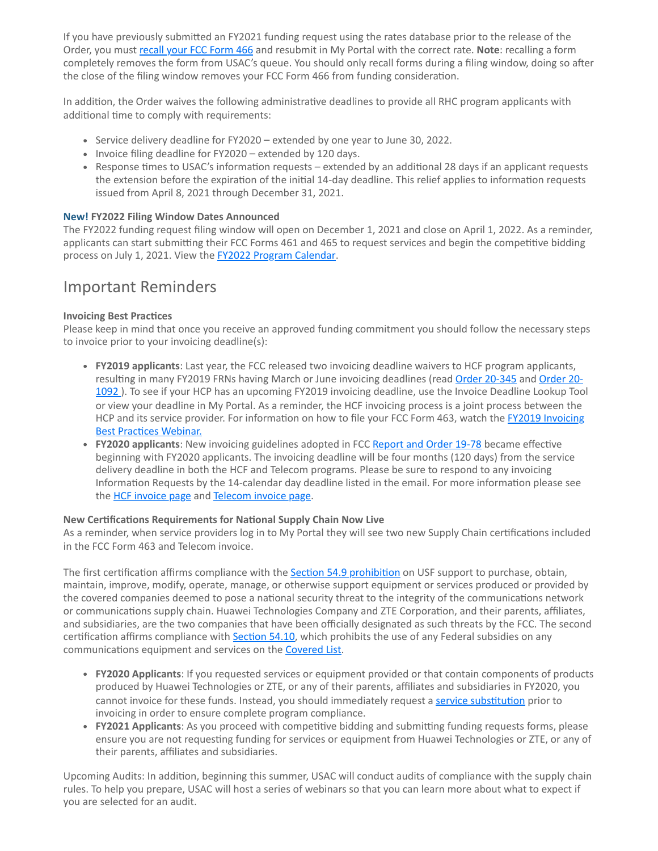If you have previously submitted an FY2021 funding request using the rates database prior to the release of the Order, you must [recall your FCC Form 466](https://click.outreach.usac.org/?qs=4d723ffd2719086dddeac3211686f88231a0bd2f7969d25f290301adccd2fed4956bb364126b9c87a1f237af1d3814bca23205f485e7c3dd) and resubmit in My Portal with the correct rate. **Note**: recalling a form completely removes the form from USAC's queue. You should only recall forms during a filing window, doing so after the close of the filing window removes your FCC Form 466 from funding consideration.

In addition, the Order waives the following administrative deadlines to provide all RHC program applicants with additional time to comply with requirements:

- Service delivery deadline for FY2020 extended by one year to June 30, 2022.
- Invoice filing deadline for FY2020 extended by 120 days.
- Response times to USAC's information requests extended by an additional 28 days if an applicant requests the extension before the expiration of the initial 14-day deadline. This relief applies to information requests issued from April 8, 2021 through December 31, 2021.

### **New! FY2022 Filing Window Dates Announced**

The FY2022 funding request filing window will open on December 1, 2021 and close on April 1, 2022. As a reminder, applicants can start submitting their FCC Forms 461 and 465 to request services and begin the competitive bidding process on July 1, 2021. View the **FY2022 [Program Calendar](https://click.outreach.usac.org/?qs=4d723ffd2719086d22e71d6c07f860ca21ef97428246b59da33c1e3054924b44d88715036fba5352964f13d5e9c32382973bc4f79536a9d2)**.

## Important Reminders

### **Invoicing Best Practices**

Please keep in mind that once you receive an approved funding commitment you should follow the necessary steps to invoice prior to your invoicing deadline(s):

- **FY2019 applicants**: Last year, the FCC released two invoicing deadline waivers to HCF program applicants, [resulting in many FY2019 FRNs having March or June invoicing deadlines \(read O](https://click.outreach.usac.org/?qs=4d723ffd2719086dfe447bdec7686b67f97d7f8b736f4ecf84c967adac3cc234482e44af075ff928af36151f06a1c41e45eb4814aa21f3a9)[rder 20-345](https://click.outreach.usac.org/?qs=4d723ffd2719086d5f7bb2695ebb10230281e2a7d79d811828328cb24e0a553d1d77491409f6eae1e97cf3ef66e0e50c518e675590fe4bbc) [and Order 20-](https://click.outreach.usac.org/?qs=4d723ffd2719086dfe447bdec7686b67f97d7f8b736f4ecf84c967adac3cc234482e44af075ff928af36151f06a1c41e45eb4814aa21f3a9) 1092 ). To see if your HCP has an upcoming FY2019 invoicing deadline, use the Invoice Deadline Lookup Tool or view your deadline in My Portal. As a reminder, the HCF invoicing process is a joint process between the [HCP and its service provider. For information on how to file your FCC Form 463, watch the FY2019 Invoicing](https://click.outreach.usac.org/?qs=4d723ffd2719086d48c9f28e3f847272012b33e99eb5296875144f46ab92570f7d33dbbda52ad91fa53bb37b566293e4183c364cb647e998) Best Practices Webinar.
- **FY2020 applicants**: New invoicing guidelines adopted in FCC [Report and Order 19-78](https://click.outreach.usac.org/?qs=40fd9dafb3d7e851f1c099a8cd29230236c06c5b320b28c35fd81facc87a7088fc65105fec3daef92b153d2a3216cf98d8fcf359650d690e) became effective beginning with FY2020 applicants. The invoicing deadline will be four months (120 days) from the service delivery deadline in both the HCF and Telecom programs. Please be sure to respond to any invoicing Information Requests by the 14-calendar day deadline listed in the email. For more information please see the **HCF** invoice page and [Telecom invoice page](https://click.outreach.usac.org/?qs=40fd9dafb3d7e851b18dd9783dfcdcb94e6a57c29a588458929f40afe93e22c4956c277c9dea398be1f877d539973d0eff9a01205f9035e9).

### **New Certifications Requirements for National Supply Chain Now Live**

As a reminder, when service providers log in to My Portal they will see two new Supply Chain certifications included in the FCC Form 463 and Telecom invoice.

The first certification affirms compliance with the [Section 54.9 prohibition](https://click.outreach.usac.org/?qs=40fd9dafb3d7e85178085454d81e0e29efcc4f90a25e82a5b451df61ec0d955ac3ce57e97a1b6b05909c6917bbd838399b44aa48a0c7e2de) on USF support to purchase, obtain, maintain, improve, modify, operate, manage, or otherwise support equipment or services produced or provided by the covered companies deemed to pose a national security threat to the integrity of the communications network or communications supply chain. Huawei Technologies Company and ZTE Corporation, and their parents, affiliates, and subsidiaries, are the two companies that have been officially designated as such threats by the FCC. The second certification affirms compliance with **Section 54.10**, which prohibits the use of any Federal subsidies on any communications equipment and services on the **Covered List**.

- **FY2020 Applicants**: If you requested services or equipment provided or that contain components of products produced by Huawei Technologies or ZTE, or any of their parents, affiliates and subsidiaries in FY2020, you cannot invoice for these funds. Instead, you should immediately request a [service substitution](https://click.outreach.usac.org/?qs=40fd9dafb3d7e851c090b3ed38f82390ba34afdead114dfc19f9c404f3ccd64e6efcf2b06c41d9c68ed70e0e1e156fe662bb78673d42a788) prior to invoicing in order to ensure complete program compliance.
- **FY2021 Applicants**: As you proceed with competitive bidding and submitting funding requests forms, please ensure you are not requesting funding for services or equipment from Huawei Technologies or ZTE, or any of their parents, affiliates and subsidiaries.

Upcoming Audits: In addition, beginning this summer, USAC will conduct audits of compliance with the supply chain rules. To help you prepare, USAC will host a series of webinars so that you can learn more about what to expect if you are selected for an audit.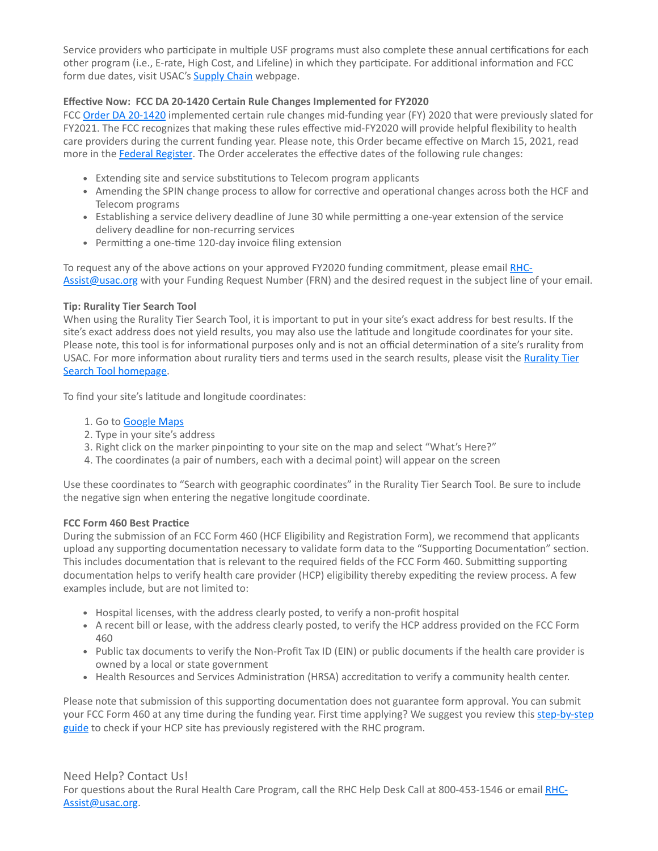Service providers who participate in multiple USF programs must also complete these annual certifications for each other program (i.e., E-rate, High Cost, and Lifeline) in which they participate. For additional information and FCC form due dates, visit USAC's **Supply Chain** webpage.

### **Effective Now: FCC DA 20-1420 Certain Rule Changes Implemented for FY2020**

FCC [Order DA 20-1420](https://click.outreach.usac.org/?qs=40fd9dafb3d7e85133945267998413fc1dbb87289d3280ebbde241b2d8f0b0db8719ebd3a521ef7199d2bcf751f3a577329b8fd26125dc8d) implemented certain rule changes mid-funding year (FY) 2020 that were previously slated for FY2021. The FCC recognizes that making these rules effective mid-FY2020 will provide helpful flexibility to health care providers during the current funding year. Please note, this Order became effective on March 15, 2021, read more in the [Federal Register](https://click.outreach.usac.org/?qs=40fd9dafb3d7e851564a8c70d7598c5ea24ec09a0a8a7abedda3a2b276b94aa26b6246be905349357005fdd72befbb06093b9ce81e24bf8a). The Order accelerates the effective dates of the following rule changes:

- Extending site and service substitutions to Telecom program applicants
- Amending the SPIN change process to allow for corrective and operational changes across both the HCF and Telecom programs
- Establishing a service delivery deadline of June 30 while permitting a one-year extension of the service delivery deadline for non-recurring services
- Permitting a one-time 120-day invoice filing extension

[To request any of the above actions on your approved FY2020 funding commitment, please email RHC-](mailto:RHC-Assist@usac.org?subject=)Assist@usac.org with your Funding Request Number (FRN) and the desired request in the subject line of your email.

### **Tip: Rurality Tier Search Tool**

When using the Rurality Tier Search Tool, it is important to put in your site's exact address for best results. If the site's exact address does not yield results, you may also use the latitude and longitude coordinates for your site. Please note, this tool is for informational purposes only and is not an official determination of a site's rurality from [USAC. For more information about rurality tiers and terms used in the search results, please visit the Rurality Tier](https://click.outreach.usac.org/?qs=93238a58595acb7dbea7d5dcde1847cca61baf8281d6c67b491d2008e23b176ee1b00eeec81efb58a9fc1e6e10a6fede42d4fdbdc8239b98) Search Tool homepage.

To find your site's latitude and longitude coordinates:

- 1. Go to [Google Maps](https://click.outreach.usac.org/?qs=93238a58595acb7d81a099b6d3383763289af05be17572d71dbb4ca845d0cca32b1ee962c0b9043a5888df2d494e8ac27dcc90abd0efc6d6)
- 2. Type in your site's address
- 3. Right click on the marker pinpointing to your site on the map and select "What's Here?"
- 4. The coordinates (a pair of numbers, each with a decimal point) will appear on the screen

Use these coordinates to "Search with geographic coordinates" in the Rurality Tier Search Tool. Be sure to include the negative sign when entering the negative longitude coordinate.

### **FCC Form 460 Best Practice**

During the submission of an FCC Form 460 (HCF Eligibility and Registration Form), we recommend that applicants upload any supporting documentation necessary to validate form data to the "Supporting Documentation" section. This includes documentation that is relevant to the required fields of the FCC Form 460. Submitting supporting documentation helps to verify health care provider (HCP) eligibility thereby expediting the review process. A few examples include, but are not limited to:

- Hospital licenses, with the address clearly posted, to verify a non-profit hospital
- A recent bill or lease, with the address clearly posted, to verify the HCP address provided on the FCC Form 460
- Public tax documents to verify the Non-Profit Tax ID (EIN) or public documents if the health care provider is owned by a local or state government
- Health Resources and Services Administration (HRSA) accreditation to verify a community health center.

Please note that submission of this supporting documentation does not guarantee form approval. You can submit [your FCC Form 460 at any time during the funding year. First time applying? We suggest you review this step-by-step](https://click.outreach.usac.org/?qs=93238a58595acb7deed8436ab49886e75efa77c1c8d41f78991c60823f8ab38f2ecd680925b24f67b8bd399fa6b1b89f0c2625e2bbfdc613) guide to check if your HCP site has previously registered with the RHC program.